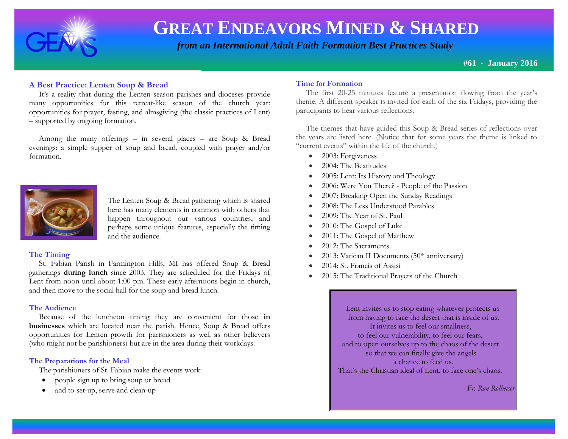

 *from an International Adult Faith Formation Best Practices Study*

**#61 - January 2016**

# **A Best Practice: Lenten Soup & Bread**

 It's a reality that during the Lenten season parishes and dioceses provide many opportunities for this retreat-like season of the church year: opportunities for prayer, fasting, and almsgiving (the classic practices of Lent) – supported by ongoing formation.

 Among the many offerings – in several places – are Soup & Bread evenings: a simple supper of soup and bread, coupled with prayer and/or formation.



The Lenten Soup & Bread gathering which is shared here has many elements in common with others that happen throughout our various countries, and perhaps some unique features, especially the timing and the audience.

#### **The Timing**

 St. Fabian Parish in Farmington Hills, MI has offered Soup & Bread gatherings **during lunch** since 2003. They are scheduled for the Fridays of Lent from noon until about 1:00 pm. These early afternoons begin in church, and then move to the social hall for the soup and bread lunch.

#### **The Audience**

 Because of the luncheon timing they are convenient for those **in businesses** which are located near the parish. Hence, Soup & Bread offers opportunities for Lenten growth for parishioners as well as other believers (who might not be parishioners) but are in the area during their workdays.

## **The Preparations for the Meal**

The parishioners of St. Fabian make the events work:

- people sign up to bring soup or bread
- and to set-up, serve and clean-up

## **Time for Formation**

theme. A different speaker is invited for each of the six Fridays, providing the The first 20-25 minutes feature a presentation flowing from the year's participants to hear various reflections.

 The themes that have guided this Soup & Bread series of reflections over the years are listed here. (Notice that for some years the theme is linked to "current events" within the life of the church.)

- 2003: Forgiveness
- 2004: The Beatitudes
- 2005: Lent: Its History and Theology
- 2006: Were You There? People of the Passion
- 2007: Breaking Open the Sunday Readings
- 2008: The Less Understood Parables
- 2009: The Year of St. Paul
- 2010: The Gospel of Luke
- 2011: The Gospel of Matthew
- 2012: The Sacraments
- 2013: Vatican II Documents (50<sup>th</sup> anniversary)
- 2014: St. Francis of Assisi
- 2015: The Traditional Prayers of the Church

 Lent invites us to stop eating whatever protects us from having to face the desert that is inside of us. It invites us to feel our smallness, to feel our vulnerability, to feel our fears, and to open ourselves up to the chaos of the desert so that we can finally give the angels a chance to feed us. That's the Christian ideal of Lent, to face one's chaos.

*- Fr. Ron Rolheiser*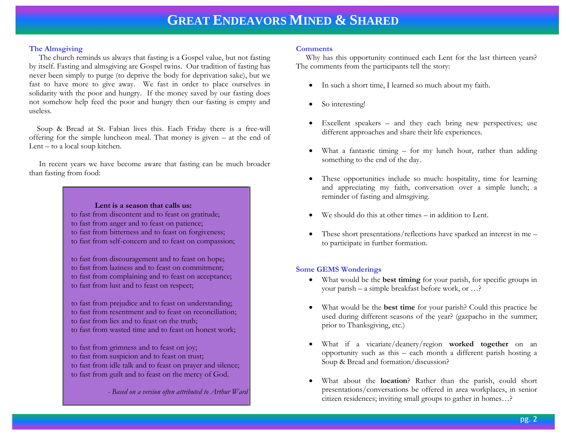#### **The Almsgiving**

 The church reminds us always that fasting is a Gospel value, but not fasting by itself. Fasting and almsgiving are Gospel twins. Our tradition of fasting has never been simply to purge (to deprive the body for deprivation sake), but we fast to have more to give away. We fast in order to place ourselves in solidarity with the poor and hungry. If the money saved by our fasting does not somehow help feed the poor and hungry then our fasting is empty and useless.

 Soup & Bread at St. Fabian lives this. Each Friday there is a free-will offering for the simple luncheon meal. That money is given – at the end of Lent – to a local soup kitchen.

 In recent years we have become aware that fasting can be much broader than fasting from food:

> **Lent is a season that calls us:** to fast from discontent and to feast on gratitude; to fast from anger and to feast on patience; to fast from bitterness and to feast on forgiveness; to fast from self-concern and to feast on compassion;

to fast from discouragement and to feast on hope; to fast from laziness and to feast on commitment; to fast from complaining and to feast on acceptance; to fast from lust and to feast on respect;

to fast from prejudice and to feast on understanding; to fast from resentment and to feast on reconciliation; to fast from lies and to feast on the truth; to fast from wasted time and to feast on honest work;

to fast from grimness and to feast on joy;

- to fast from suspicion and to feast on trust;
- to fast from idle talk and to feast on prayer and silence; to fast from guilt and to feast on the mercy of God.

*- Based on a version often attributed to Arthur Ward* 

#### **Comments**

 Why has this opportunity continued each Lent for the last thirteen years? The comments from the participants tell the story:

- In such a short time, I learned so much about my faith.
- So interesting!
- Excellent speakers and they each bring new perspectives; use different approaches and share their life experiences.
- What a fantastic timing for my lunch hour, rather than adding something to the end of the day.
- These opportunities include so much: hospitality, time for learning and appreciating my faith, conversation over a simple lunch; a reminder of fasting and almsgiving.
- We should do this at other times in addition to Lent.
- These short presentations/reflections have sparked an interest in me to participate in further formation.

## **Some GEMS Wonderings**

- What would be the **best timing** for your parish, for specific groups in your parish – a simple breakfast before work, or …?
- What would be the **best time** for your parish? Could this practice be used during different seasons of the year? (gazpacho in the summer; prior to Thanksgiving, etc.)
- What if a vicariate/deanery/region **worked together** on an opportunity such as this – each month a different parish hosting a Soup & Bread and formation/discussion?
- What about the **location**? Rather than the parish, could short presentations/conversations be offered in area workplaces, in senior citizen residences; inviting small groups to gather in homes…?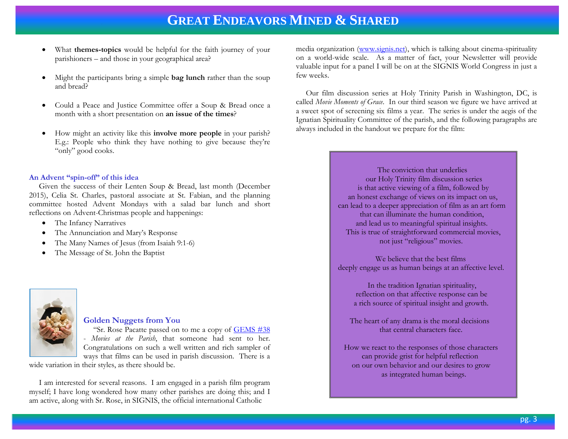- What **themes-topics** would be helpful for the faith journey of your parishioners – and those in your geographical area?
- Might the participants bring a simple **bag lunch** rather than the soup and bread?
- Could a Peace and Justice Committee offer a Soup & Bread once a month with a short presentation on **an issue of the times**?
- How might an activity like this **involve more people** in your parish? E.g.: People who think they have nothing to give because they're "only" good cooks.

#### **An Advent "spin-off" of this idea**

 Given the success of their Lenten Soup & Bread, last month (December 2015), Celia St. Charles, pastoral associate at St. Fabian, and the planning committee hosted Advent Mondays with a salad bar lunch and short reflections on Advent-Christmas people and happenings:

- The Infancy Narratives
- The Annunciation and Mary's Response
- The Many Names of Jesus (from Isaiah 9:1-6)
- The Message of St. John the Baptist



### **Golden Nuggets from You**

"Sr. Rose Pacatte passed on to me a copy of **GEMS** #38 - *Movies at the Parish*, that someone had sent to her. Congratulations on such a well written and rich sampler of ways that films can be used in parish discussion. There is a

wide variation in their styles, as there should be.

 I am interested for several reasons. I am engaged in a parish film program myself; I have long wondered how many other parishes are doing this; and I am active, along with Sr. Rose, in SIGNIS, the official international Catholic

media organization [\(www.signis.net\)](http://www.signis.net/), which is talking about cinema-spirituality on a world-wide scale. As a matter of fact, your Newsletter will provide valuable input for a panel I will be on at the SIGNIS World Congress in just a few weeks.

 Our film discussion series at Holy Trinity Parish in Washington, DC, is called *Movie Moments of Grace*. In our third season we figure we have arrived at a sweet spot of screening six films a year. The series is under the aegis of the Ignatian Spirituality Committee of the parish, and the following paragraphs are always included in the handout we prepare for the film:

> The conviction that underlies our Holy Trinity film discussion series is that active viewing of a film, followed by an honest exchange of views on its impact on us, can lead to a deeper appreciation of film as an art form that can illuminate the human condition, and lead us to meaningful spiritual insights. This is true of straightforward commercial movies, not just "religious" movies.

> We believe that the best films deeply engage us as human beings at an affective level.

 In the tradition Ignatian spirituality, reflection on that affective response can be a rich source of spiritual insight and growth.

 The heart of any drama is the moral decisions that central characters face.

 How we react to the responses of those characters can provide grist for helpful reflection on our own behavior and our desires to grow as integrated human beings.